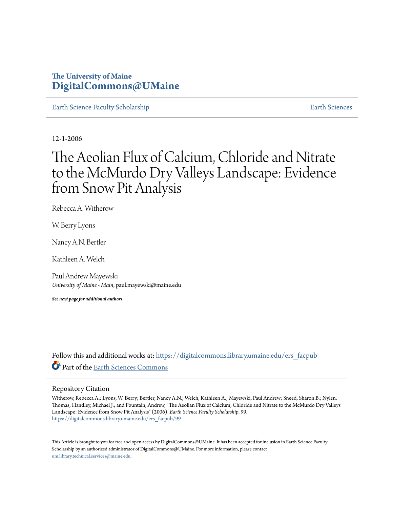# **The University of Maine [DigitalCommons@UMaine](https://digitalcommons.library.umaine.edu?utm_source=digitalcommons.library.umaine.edu%2Fers_facpub%2F99&utm_medium=PDF&utm_campaign=PDFCoverPages)**

[Earth Science Faculty Scholarship](https://digitalcommons.library.umaine.edu/ers_facpub?utm_source=digitalcommons.library.umaine.edu%2Fers_facpub%2F99&utm_medium=PDF&utm_campaign=PDFCoverPages) **[Earth Sciences](https://digitalcommons.library.umaine.edu/ers?utm_source=digitalcommons.library.umaine.edu%2Fers_facpub%2F99&utm_medium=PDF&utm_campaign=PDFCoverPages)** 

12-1-2006

# The Aeolian Flux of Calcium, Chloride and Nitrate to the McMurdo Dry Valleys Landscape: Evidence from Snow Pit Analysis

Rebecca A. Witherow

W. Berry Lyons

Nancy A.N. Bertler

Kathleen A. Welch

Paul Andrew Mayewski *University of Maine - Main*, paul.mayewski@maine.edu

*See next page for additional authors*

Follow this and additional works at: [https://digitalcommons.library.umaine.edu/ers\\_facpub](https://digitalcommons.library.umaine.edu/ers_facpub?utm_source=digitalcommons.library.umaine.edu%2Fers_facpub%2F99&utm_medium=PDF&utm_campaign=PDFCoverPages) Part of the [Earth Sciences Commons](http://network.bepress.com/hgg/discipline/153?utm_source=digitalcommons.library.umaine.edu%2Fers_facpub%2F99&utm_medium=PDF&utm_campaign=PDFCoverPages)

#### Repository Citation

Witherow, Rebecca A.; Lyons, W. Berry; Bertler, Nancy A.N.; Welch, Kathleen A.; Mayewski, Paul Andrew; Sneed, Sharon B.; Nylen, Thomas; Handley, Michael J.; and Fountain, Andrew, "The Aeolian Flux of Calcium, Chloride and Nitrate to the McMurdo Dry Valleys Landscape: Evidence from Snow Pit Analysis" (2006). *Earth Science Faculty Scholarship*. 99. [https://digitalcommons.library.umaine.edu/ers\\_facpub/99](https://digitalcommons.library.umaine.edu/ers_facpub/99?utm_source=digitalcommons.library.umaine.edu%2Fers_facpub%2F99&utm_medium=PDF&utm_campaign=PDFCoverPages)

This Article is brought to you for free and open access by DigitalCommons@UMaine. It has been accepted for inclusion in Earth Science Faculty Scholarship by an authorized administrator of DigitalCommons@UMaine. For more information, please contact [um.library.technical.services@maine.edu](mailto:um.library.technical.services@maine.edu).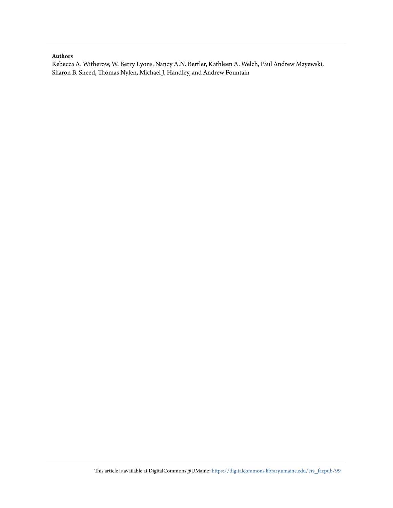### **Authors**

Rebecca A. Witherow, W. Berry Lyons, Nancy A.N. Bertler, Kathleen A. Welch, Paul Andrew Mayewski, Sharon B. Sneed, Thomas Nylen, Michael J. Handley, and Andrew Fountain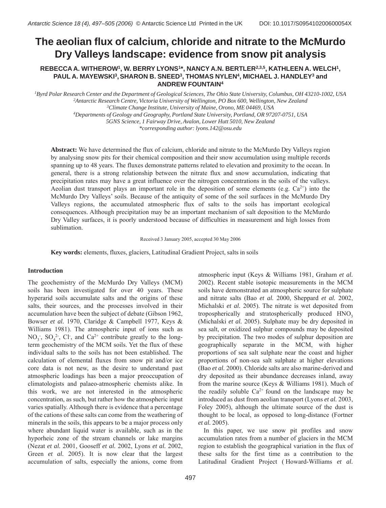# **The aeolian flux of calcium, chloride and nitrate to the McMurdo Dry Valleys landscape: evidence from snow pit analysis**

## **REBECCA A. WITHEROW1, W. BERRY LYONS1\*, NANCY A.N. BERTLER2,3,5, KATHLEEN A. WELCH1, PAUL A. MAYEWSKI3, SHARON B. SNEED3, THOMAS NYLEN4, MICHAEL J. HANDLEY3 and ANDREW FOUNTAIN4**

 *Byrd Polar Research Center and the Department of Geological Sciences, The Ohio State University, Columbus, OH 43210-1002, USA Antarctic Research Centre, Victoria University of Wellington, PO Box 600, Wellington, New Zealand Climate Change Institute, University of Maine, Orono, ME 04469, USA Departments of Geology and Geography, Portland State University, Portland, OR 97207-0751, USA 5GNS Science, 1 Fairway Drive, Avalon, Lower Hutt 5010, New Zealand*

*\*corresponding author: lyons.142@osu.edu*

**Abstract:** We have determined the flux of calcium, chloride and nitrate to the McMurdo Dry Valleys region by analysing snow pits for their chemical composition and their snow accumulation using multiple records spanning up to 48 years. The fluxes demonstrate patterns related to elevation and proximity to the ocean. In general, there is a strong relationship between the nitrate flux and snow accumulation, indicating that precipitation rates may have a great influence over the nitrogen concentrations in the soils of the valleys. Aeolian dust transport plays an important role in the deposition of some elements (e.g.  $Ca^{2+}$ ) into the McMurdo Dry Valleysí soils. Because of the antiquity of some of the soil surfaces in the McMurdo Dry Valleys regions, the accumulated atmospheric flux of salts to the soils has important ecological consequences. Although precipitation may be an important mechanism of salt deposition to the McMurdo Dry Valley surfaces, it is poorly understood because of difficulties in measurement and high losses from sublimation.

Received 3 January 2005, accepted 30 May 2006

**Key words:** elements, fluxes, glaciers, Latitudinal Gradient Project, salts in soils

## **Introduction**

The geochemistry of the McMurdo Dry Valleys (MCM) soils has been investigated for over 40 years. These hyperarid soils accumulate salts and the origins of these salts, their sources, and the processes involved in their accumulation have been the subject of debate (Gibson 1962, Bowser *et al.* 1970, Claridge & Campbell 1977, Keys & Williams 1981). The atmospheric input of ions such as NO<sub>3</sub>, SO<sub>4</sub><sup>2</sup>, Cl<sub>7</sub>, and Ca<sup>2+</sup> contribute greatly to the longterm geochemistry of the MCM soils. Yet the flux of these individual salts to the soils has not been established. The calculation of elemental fluxes from snow pit and/or ice core data is not new, as the desire to understand past atmospheric loadings has been a major preoccupation of climatologists and palaeo-atmospheric chemists alike. In this work, we are not interested in the atmospheric concentration, as such, but rather how the atmospheric input varies spatially. Although there is evidence that a percentage of the cations of these salts can come from the weathering of minerals in the soils, this appears to be a major process only where abundant liquid water is available, such as in the hyporheic zone of the stream channels or lake margins (Nezat *et al.* 2001, Gooseff *et al.* 2002, Lyons *et al.* 2002, Green *et al.* 2005). It is now clear that the largest accumulation of salts, especially the anions, come from

atmospheric input (Keys & Williams 1981, Graham *et al.* 2002). Recent stable isotopic measurements in the MCM soils have demonstrated an atmospheric source for sulphate and nitrate salts (Bao *et al.* 2000, Sheppard *et al.* 2002, Michalski *et al.* 2005). The nitrate is wet deposited from tropospherically and stratospherically produced  $HNO<sub>3</sub>$ (Michalski *et al.* 2005). Sulphate may be dry deposited in sea salt, or oxidized sulphur compounds may be deposited by precipitation. The two modes of sulphur deposition are geographically separate in the MCM, with higher proportions of sea salt sulphate near the coast and higher proportions of non-sea salt sulphate at higher elevations (Bao *et al.* 2000). Chloride salts are also marine-derived and dry deposited as their abundance decreases inland, away from the marine source (Keys & Williams 1981). Much of the readily soluble  $Ca^{2+}$  found on the landscape may be introduced as dust from aeolian transport (Lyons *et al.* 2003, Foley 2005), although the ultimate source of the dust is thought to be local, as opposed to long-distance (Fortner *et al.* 2005).

In this paper, we use snow pit profiles and snow accumulation rates from a number of glaciers in the MCM region to establish the geographical variation in the flux of these salts for the first time as a contribution to the Latitudinal Gradient Project ( Howard-Williams *et al.*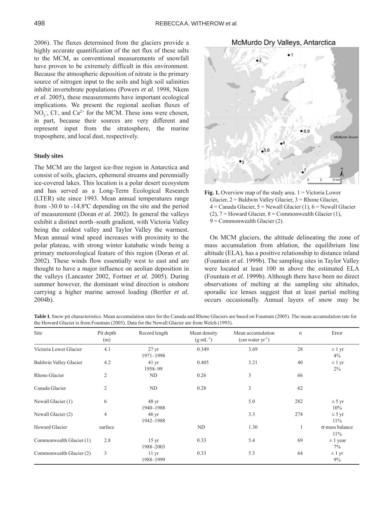2006). The fluxes determined from the glaciers provide a highly accurate quantification of the net flux of these salts to the MCM, as conventional measurements of snowfall have proven to be extremely difficult in this environment. Because the atmospheric deposition of nitrate is the primary source of nitrogen input to the soils and high soil salinities inhibit invertebrate populations (Powers *et al.* 1998, Nkem *et al.* 2005), these measurements have important ecological implications. We present the regional aeolian fluxes of  $NO_3$ ; Cl, and Ca<sup>2+</sup> for the MCM. These ions were chosen, in part, because their sources are very different and represent input from the stratosphere, the marine troposphere, and local dust, respectively.

#### **Study sites**

The MCM are the largest ice-free region in Antarctica and consist of soils, glaciers, ephemeral streams and perennially ice-covered lakes. This location is a polar desert ecosystem and has served as a Long-Term Ecological Research (LTER) site since 1993. Mean annual temperatures range from -30.0 to -14.8ºC depending on the site and the period of measurement (Doran *et al.* 2002). In general the valleys exhibit a distinct north–south gradient, with Victoria Valley being the coldest valley and Taylor Valley the warmest. Mean annual wind speed increases with proximity to the polar plateau, with strong winter katabatic winds being a primary meteorological feature of this region (Doran *et al.* 2002). These winds flow essentially west to east and are thought to have a major influence on aeolian deposition in the valleys (Lancaster 2002, Fortner *et al.* 2005). During summer however, the dominant wind direction is onshore carrying a higher marine aerosol loading (Bertler *et al.* 2004b).



**Fig. 1.** Overview map of the study area.  $1 =$  Victoria Lower Glacier, 2 = Baldwin Valley Glacier, 3 = Rhone Glacier,  $4 =$  Canada Glacier,  $5 =$  Newall Glacier (1),  $6 =$  Newall Glacier (2),  $7 =$  Howard Glacier,  $8 =$  Commonwealth Glacier (1),  $9 =$  Commonwealth Glacier (2).

On MCM glaciers, the altitude delineating the zone of mass accumulation from ablation, the equilibrium line altitude (ELA), has a positive relationship to distance inland (Fountain *et al.* 1999b). The sampling sites in Taylor Valley were located at least 100 m above the estimated ELA (Fountain *et al.* 1999b). Although there have been no direct observations of melting at the sampling site altitudes, sporadic ice lenses suggest that at least partial melting occurs occasionally. Annual layers of snow may be

**Table I.** Snow pit characteristics. Mean accumulation rates for the Canada and Rhone Glaciers are based on Fountain (2005). The mean accumulation rate for the Howard Glacier is from Fountain (2005). Data for the Newall Glacier are from Welch (1993).

| Site                          | Pit depth<br>(m) | Record length                   | Mean density<br>Mean accumulation<br>$(g \, mL^{-1})$<br>$(cm water yr-1)$ |      | $\boldsymbol{n}$ | Error                        |  |
|-------------------------------|------------------|---------------------------------|----------------------------------------------------------------------------|------|------------------|------------------------------|--|
| Victoria Lower Glacier        | 4.1              | 27 <sub>yr</sub><br>1971-1998   | 0.349                                                                      | 3.69 | 28               | $\pm$ 1 yr<br>4%             |  |
| <b>Baldwin Valley Glacier</b> | 4.2              | $41 \,\mathrm{yr}$<br>1958-99   | 0.405                                                                      | 3.21 | 40               | $\pm$ 1 yr<br>$2\%$          |  |
| Rhone Glacier                 | $\overline{c}$   | <b>ND</b>                       | 0.26                                                                       | 3    | 66               |                              |  |
| Canada Glacier                | $\overline{c}$   | ND                              | 0.28                                                                       | 3    | 62               |                              |  |
| Newall Glacier (1)            | 6                | 48 <sub>yr</sub><br>1940-1988   |                                                                            | 5.0  | 282              | ± 5 yr<br>10%                |  |
| Newall Glacier (2)            | $\overline{4}$   | $46 \,\mathrm{yr}$<br>1942-1988 |                                                                            | 3.3  | 274              | $\pm$ 5 yr<br>11%            |  |
| Howard Glacier                | surface          |                                 | ND                                                                         | 1.30 | 1                | $\sigma$ mass balance<br>11% |  |
| Commonwealth Glacier (1)      | 2.8              | $15 \,\mathrm{yr}$<br>1988-2003 | 0.33                                                                       | 5.4  | 69               | $\pm$ 1 year<br>7%           |  |
| Commonwealth Glacier (2)      | 3                | $11 \text{ yr}$<br>1988-1999    | 0.33                                                                       | 5.3  | 64               | $\pm$ 1 yr<br>9%             |  |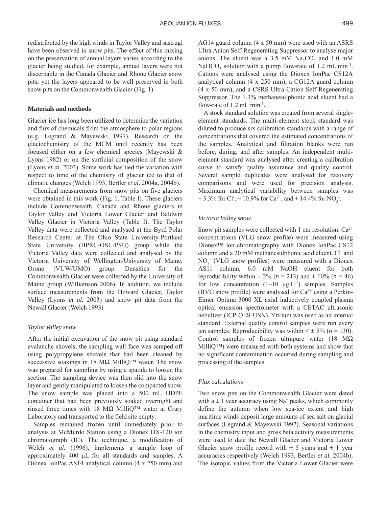redistributed by the high winds in Taylor Valley and sastrugi have been observed in snow pits. The effect of this mixing on the preservation of annual layers varies according to the glacier being studied, for example, annual layers were not discernable in the Canada Glacier and Rhone Glacier snow pits, yet the layers appeared to be well preserved in both snow pits on the Commonwealth Glacier (Fig. 1).

#### **Materials and methods**

Glacier ice has long been utilized to determine the variation and flux of chemicals from the atmosphere to polar regions (e.g. Legrand & Mayewski 1997). Research on the glaciochemistry of the MCM until recently has been focused either on a few chemical species (Mayewski & Lyons 1982) or on the surficial composition of the snow (Lyons *et al.* 2003). Some work has tied the variation with respect to time of the chemistry of glacier ice to that of climatic changes (Welch 1993, Bertler *et al.* 2004a, 2004b).

Chemical measurements from snow pits on five glaciers were obtained in this work (Fig. 1, Table I). These glaciers include Commonwealth, Canada and Rhone glaciers in Taylor Valley and Victoria Lower Glacier and Baldwin Valley Glacier in Victoria Valley (Table I). The Taylor Valley data were collected and analysed at the Byrd Polar Research Center at The Ohio State University-Portland State University (BPRC-OSU/PSU) group while the Victoria Valley data were collected and analysed by the Victoria University of Wellington/University of Maine, Orono (VUW/UMO) group. Densities for the Commonwealth Glacier were collected by the University of Maine group (Williamson 2006). In addition, we include surface measurements from the Howard Glacier, Taylor Valley (Lyons *et al.* 2003) and snow pit data from the Newall Glacier (Welch 1993)

#### *Taylor Valley snow*

After the initial excavation of the snow pit using standard avalanche shovels, the sampling wall face was scraped off using polypropylene shovels that had been cleaned by successive soakings in 18 M $\Omega$  Milli $Q^{TM}$  water. The snow was prepared for sampling by using a spatula to loosen the section. The sampling device was then slid into the snow layer and gently manipulated to loosen the compacted snow. The snow sample was placed into a 500 mL HDPE container that had been previously soaked overnight and rinsed three times with 18 MΩ MilliQ<sup>™</sup> water at Crary Laboratory and transported to the field site empty.

Samples remained frozen until immediately prior to analysis at McMurdo Station using a Dionex DX-120 ion chromatograph (IC). The technique, a modification of Welch *et al.* (1996), implements a sample loop of approximately 400 μL for all standards and samples. A Dionex IonPac AS14 analytical column (4 x 250 mm) and

AG14 guard column (4 x 50 mm) were used with an ASRS Ultra Anion Self-Regenerating Suppressor to analyse major anions. The eluent was a 3.5 mM  $\text{Na}_2\text{CO}_3$  and 1.0 mM NaHCO<sub>3</sub> solution with a pump flow-rate of 1.2 mL·min<sup>-1</sup>. Cations were analysed using the Dionex IonPac CS12A analytical column (4 x 250 mm), a CG12A guard column (4 x 50 mm), and a CSRS Ultra Cation Self-Regenerating Suppressor. The 1.3% methanesulphonic acid eluent had a flow-rate of  $1.2$  mL·min<sup>-1</sup>.

A stock standard solution was created from several singleelement standards. The multi-element stock standard was diluted to produce six calibration standards with a range of concentrations that covered the estimated concentrations of the samples. Analytical and filtration blanks were run before, during, and after samples. An independent multielement standard was analysed after creating a calibration curve to satisfy quality assurance and quality control. Several sample duplicates were analysed for recovery comparisons and were used for precision analysis. Maximum analytical variability between samples was  $\pm$  3.3% for Cl<sup>-</sup>,  $\pm$  10.9% for Ca<sup>2+</sup>, and  $\pm$  14.4% for NO<sub>3</sub><sup>-</sup>.

#### *Victoria Valley snow*

Snow pit samples were collected with 1 cm resolution.  $Ca^{2+}$ concentrations (VLG snow profile) were measured using Dionex<sup>TM</sup> ion chromatography with Dionex IonPac CS12 column and a 20 mM methanesulphonic acid eluent. Cl- and  $NO<sub>3</sub>$ <sup>-</sup> (VLG snow profiles) were measured with a Dionex AS11 column, 6.0 mM NaOH eluent for both reproducibility within  $\pm$  3% (*n* = 213) and  $\pm$  10% (*n* = 46) for low concentration  $(1-10 \mu g \cdot L^{-1})$  samples. Samples (BVG snow profile) were analysed for  $Ca^{2+}$  using a Perkin-Elmer Optima 3000 XL axial inductively coupled plasma optical emission spectrometer with a CETAC ultrasonic nebulizer (ICP-OES-USN). Yttrium was used as an internal standard. External quality control samples were run every ten samples. Reproducibility was within  $\leq \pm 5\%$  (*n* = 130). Control samples of frozen ultrapure water (18 MΩ  $MilliQ^{TM}$ ) were measured with both systems and show that no significant contamination occurred during sampling and processing of the samples.

#### *Flux calculations*

Two snow pits on the Commonwealth Glacier were dated with  $a \pm 1$  year accuracy using Na<sup>+</sup> peaks, which commonly define the autumn when low sea-ice extent and high maritime winds deposit large amounts of sea salt on glacial surfaces (Legrand & Mayewski 1997). Seasonal variations in the chemistry input and gross beta activity measurements were used to date the Newall Glacier and Victoria Lower Glacier snow profile record with  $\pm$  5 years and  $\pm$  1 year accuracies respectively (Welch 1993, Bertler *et al.* 2004b). The isotopic values from the Victoria Lower Glacier were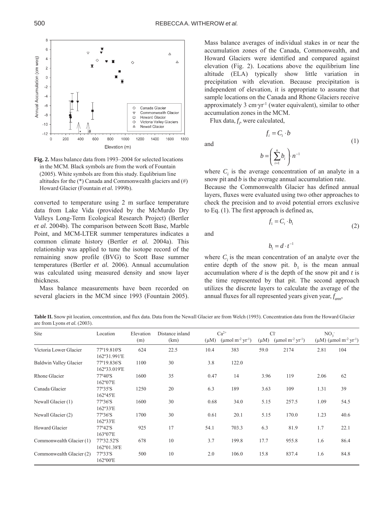

Fig. 2. Mass balance data from 1993–2004 for selected locations in the MCM. Black symbols are from the work of Fountain (2005). White symbols are from this study. Equlibrium line altitudes for the (\*) Canada and Commonwealth glaciers and (#) Howard Glacier (Fountain *et al.* 1999b).

converted to temperature using 2 m surface temperature data from Lake Vida (provided by the McMurdo Dry Valleys Long-Term Ecological Research Project) (Bertler *et al.* 2004b). The comparison between Scott Base, Marble Point, and MCM-LTER summer temperatures indicates a common climate history (Bertler *et al.* 2004a). This relationship was applied to tune the isotope record of the remaining snow profile (BVG) to Scott Base summer temperatures (Bertler *et al.* 2006). Annual accumulation was calculated using measured density and snow layer thickness.

Mass balance measurements have been recorded on several glaciers in the MCM since 1993 (Fountain 2005). Mass balance averages of individual stakes in or near the accumulation zones of the Canada, Commonwealth, and Howard Glaciers were identified and compared against elevation (Fig. 2). Locations above the equilibrium line altitude (ELA) typically show little variation in precipitation with elevation. Because precipitation is independent of elevation, it is appropriate to assume that sample locations on the Canada and Rhone Glaciers receive approximately 3  $cm·yr^{-1}$  (water equivalent), similar to other accumulation zones in the MCM.

Flux data,  $f_i$ , were calculated,

and

$$
b = \left(\sum_{i=1}^n b_i\right) n^{-1}
$$

 $f_i = C_i \cdot b$ 

where  $C_i$  is the average concentration of an analyte in a snow pit and *b* is the average annual accumulation rate.

Because the Commonwealth Glacier has defined annual layers, fluxes were evaluated using two other approaches to check the precision and to avoid potential errors exclusive to Eq. (1). The first approach is defined as,

(2)

(1)

$$
f_{\rm{max}}
$$

and

$$
b_{\rm l}=d\cdot t^-
$$

 $f_1 = C_i \cdot b_1$ 

1

where  $C_i$  is the mean concentration of an analyte over the entire depth of the snow pit.  $b_1$  is the mean annual accumulation where *d* is the depth of the snow pit and *t* is the time represented by that pit. The second approach utilizes the discrete layers to calculate the average of the annual fluxes for all represented years given year, *f ann*,

**Table II.** Snow pit location, concentration, and flux data. Data from the Newall Glacier are from Welch (1993). Concentration data from the Howard Glacier are from Lyons *et al.* (2003).

| Site<br>Victoria Lower Glacier | Location<br>77°19.810'S   | Elevation<br>(m)<br>624 | Distance inland<br>(km)<br>22.5 |           | $Ca^{2+}$                                      |           | $Cl+$                                          |      | NO <sub>2</sub>                                 |  |
|--------------------------------|---------------------------|-------------------------|---------------------------------|-----------|------------------------------------------------|-----------|------------------------------------------------|------|-------------------------------------------------|--|
|                                |                           |                         |                                 | $(\mu M)$ | ( $\mu$ mol m <sup>-2</sup> yr <sup>-1</sup> ) | $(\mu M)$ | ( $\mu$ mol m <sup>-2</sup> yr <sup>-1</sup> ) |      | $(μM)$ (μmol m <sup>-2</sup> yr <sup>-1</sup> ) |  |
|                                |                           |                         |                                 | 10.4      | 383                                            | 59.0      | 2174                                           | 2.81 | 104                                             |  |
|                                | 162°31.991'E              |                         |                                 |           |                                                |           |                                                |      |                                                 |  |
| <b>Baldwin Valley Glacier</b>  | 77°19.836'S               | 1100                    | 30                              | 3.8       | 122.0                                          |           |                                                |      |                                                 |  |
|                                | 162°33.019'E              |                         |                                 |           |                                                |           |                                                |      |                                                 |  |
| Rhone Glacier                  | $77^{\circ}40^{\prime}$ S | 1600                    | 35                              | 0.47      | 14                                             | 3.96      | 119                                            | 2.06 | 62                                              |  |
|                                | 162°07'E                  |                         |                                 |           |                                                |           |                                                |      |                                                 |  |
| Canada Glacier                 | 77°35'S                   | 1250                    | 20                              | 6.3       | 189                                            | 3.63      | 109                                            | 1.31 | 39                                              |  |
|                                | $162^{\circ}45'E$         |                         |                                 |           |                                                |           |                                                |      |                                                 |  |
| Newall Glacier (1)             | 77°36'S                   | 1600                    | 30                              | 0.68      | 34.0                                           | 5.15      | 257.5                                          | 1.09 | 54.5                                            |  |
|                                | 162°33'E                  |                         |                                 |           |                                                |           |                                                |      |                                                 |  |
| Newall Glacier (2)             | 77°36'S                   | 1700                    | 30                              | 0.61      | 20.1                                           | 5.15      | 170.0                                          | 1.23 | 40.6                                            |  |
|                                | 162°33'E                  |                         |                                 |           |                                                |           |                                                |      |                                                 |  |
| Howard Glacier                 | 77°42'S                   | 925                     | 17                              | 54.1      | 703.3                                          | 6.3       | 81.9                                           | 1.7  | 22.1                                            |  |
|                                | 163°07'E                  |                         |                                 |           |                                                |           |                                                |      |                                                 |  |
| Commonwealth Glacier (1)       | 77°32.52'S                | 678                     | 10                              | 3.7       | 199.8                                          | 17.7      | 955.8                                          | 1.6  | 86.4                                            |  |
|                                | 162°01.38'E               |                         |                                 |           |                                                |           |                                                |      |                                                 |  |
| Commonwealth Glacier (2)       | 77°33'S                   | 500                     | 10                              | 2.0       | 106.0                                          | 15.8      | 837.4                                          | 1.6  | 84.8                                            |  |
|                                | 162°00'E                  |                         |                                 |           |                                                |           |                                                |      |                                                 |  |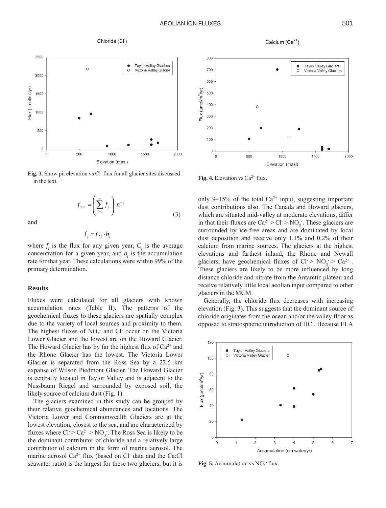800

#### Chloride (CI<sup>-</sup>)



Fig. 3. Snow pit elevation vs Cl<sup>-</sup> flux for all glacier sites discussed  $\mathbf{Fig. 4.}$  Elevation vs  $Ca^{2+}$  flux.<br>in the text.

$$
f_{\text{ann}} = \left(\sum_{j=1}^{n} f_j\right) n^{-1} \tag{3}
$$

and

$$
f_j = C_j \cdot b_j
$$

where  $f_j$  is the flux for any given year,  $C_j$  is the average concentration for a given year, and  $b_i$  is the accumulation rate for that year. These calculations were within 99% of the primary determination.

#### **Results**

Fluxes were calculated for all glaciers with known accumulation rates (Table II). The patterns of the geochemical fluxes to these glaciers are spatially complex due to the variety of local sources and proximity to them. The highest fluxes of  $NO<sub>3</sub>$  and Cl occur on the Victoria Lower Glacier and the lowest are on the Howard Glacier. The Howard Glacier has by far the highest flux of  $Ca^{2+}$  and the Rhone Glacier has the lowest. The Victoria Lower Glacier is separated from the Ross Sea by a 22.5 km expanse of Wilson Piedmont Glacier. The Howard Glacier is centrally located in Taylor Valley and is adjacent to the Nussbaum Riegel and surrounded by exposed soil, the likely source of calcium dust (Fig. 1).

The glaciers examined in this study can be grouped by their relative geochemical abundances and locations. The Victoria Lower and Commonwealth Glaciers are at the lowest elevation, closest to the sea, and are characterized by fluxes where  $Cl > Ca^{2+} > NO_3$ . The Ross Sea is likely to be the dominant contributor of chloride and a relatively large contributor of calcium in the form of marine aerosol. The marine aerosol  $Ca^{2+}$  flux (based on Cl data and the Ca:Cl seawater ratio) is the largest for these two glaciers, but it is





 $=\left(\sum_{j=1}^n f_j\right) n^{-1}$  only 9–15% of the total Ca<sup>2+</sup> input, suggesting important dust contributions also. The Canada and Howard glaciers, which are situated mid-valley at moderate elevations, differ in that their fluxes are  $Ca^{2+} > Cl > NO_3$ . These glaciers are surrounded by ice-free areas and are dominated by local dust deposition and receive only 1.1% and 0.2% of their calcium from marine sources. The glaciers at the highest elevations and farthest inland, the Rhone and Newall glaciers, have geochemical fluxes of  $Cl^{\bullet} > NO_3^{\bullet} > Ca^{2+}$ . These glaciers are likely to be more influenced by long distance chloride and nitrate from the Antarctic plateau and receive relatively little local aeolian input compared to other glaciers in the MCM.

> Generally, the chloride flux decreases with increasing elevation (Fig. 3). This suggests that the dominant source of chloride originates from the ocean and/or the valley floor as opposed to stratospheric introduction of HCl. Because ELA



**Fig. 5.** Accumulation vs  $NO_3$ <sup>-</sup> flux.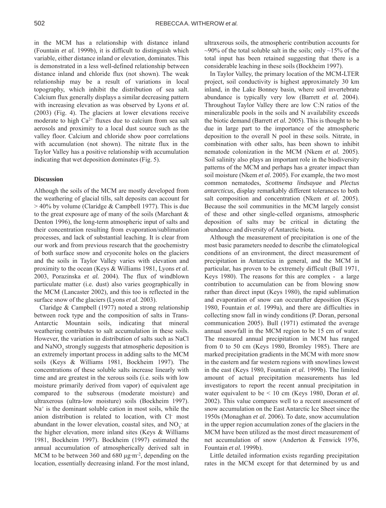in the MCM has a relationship with distance inland (Fountain *et al.* 1999b), it is difficult to distinguish which variable, either distance inland or elevation, dominates. This is demonstrated in a less well-defined relationship between distance inland and chloride flux (not shown). The weak relationship may be a result of variations in local topography, which inhibit the distribution of sea salt. Calcium flux generally displays a similar decreasing pattern with increasing elevation as was observed by Lyons *et al.* (2003) (Fig. 4). The glaciers at lower elevations receive moderate to high  $Ca^{2+}$  fluxes due to calcium from sea salt aerosols and proximity to a local dust source such as the valley floor. Calcium and chloride show poor correlations with accumulation (not shown). The nitrate flux in the Taylor Valley has a positive relationship with accumulation indicating that wet deposition dominates (Fig. 5).

#### **Discussion**

Although the soils of the MCM are mostly developed from the weathering of glacial tills, salt deposits can account for  $> 40\%$  by volume (Claridge & Campbell 1977). This is due to the great exposure age of many of the soils (Marchant & Denton 1996), the long-term atmospheric input of salts and their concentration resulting from evaporation/sublimation processes, and lack of substantial leaching. It is clear from our work and from previous research that the geochemistry of both surface snow and cryoconite holes on the glaciers and the soils in Taylor Valley varies with elevation and proximity to the ocean (Keys & Williams 1981, Lyons *et al.* 2003, Porazinska *et al.* 2004). The flux of windblown particulate matter (i.e. dust) also varies geographically in the MCM (Lancaster 2002), and this too is reflected in the surface snow of the glaciers (Lyons *et al.* 2003).

Claridge & Campbell (1977) noted a strong relationship between rock type and the composition of salts in Trans-Antarctic Mountain soils, indicating that mineral weathering contributes to salt accumulation in these soils. However, the variation in distribution of salts such as NaCl and  $\text{NaNO}_3$  strongly suggests that atmospheric deposition is an extremely important process in adding salts to the MCM soils (Keys & Williams 1981, Bockheim 1997). The concentrations of these soluble salts increase linearly with time and are greatest in the xerous soils (i.e. soils with low moisture primarily derived from vapor) of equivalent age compared to the subxerous (moderate moisture) and ultraxerous (ultra-low moisture) soils (Bockheim 1997).  $Na<sup>+</sup>$  is the dominant soluble cation in most soils, while the anion distribution is related to location, with Cl- most abundant in the lower elevation, coastal sites, and  $NO_3^-$  at the higher elevation, more inland sites (Keys & Williams 1981, Bockheim 1997). Bockheim (1997) estimated the annual accumulation of atmospherically derived salt in MCM to be between 360 and 680 μg·m<sup>-2</sup>, depending on the location, essentially decreasing inland. For the most inland, ultraxerous soils, the atmospheric contribution accounts for  $\sim$ 90% of the total soluble salt in the soils; only  $\sim$ 15% of the total input has been retained suggesting that there is a considerable leaching in these soils (Bockheim 1997).

In Taylor Valley, the primary location of the MCM-LTER project, soil conductivity is highest approximately 30 km inland, in the Lake Bonney basin, where soil invertebrate abundance is typically very low (Barrett *et al.* 2004). Throughout Taylor Valley there are low C:N ratios of the mineralizable pools in the soils and N availability exceeds the biotic demand (Barrett *et al.* 2005). This is thought to be due in large part to the importance of the atmospheric deposition to the overall N pool in these soils. Nitrate, in combination with other salts, has been shown to inhibit nematode colonization in the MCM (Nkem *et al.* 2005). Soil salinity also plays an important role in the biodiversity patterns of the MCM and perhaps has a greater impact than soil moisture (Nkem *et al.* 2005). For example, the two most common nematodes, *Scottnema lindsayae* and *Plectus antarcticus*, display remarkably different tolerances to both salt composition and concentration (Nkem *et al.* 2005). Because the soil communities in the MCM largely consist of these and other single-celled organisms, atmospheric deposition of salts may be critical in dictating the abundance and diversity of Antarctic biota.

Although the measurement of precipitation is one of the most basic parameters needed to describe the climatological conditions of an environment, the direct measurement of precipitation in Antarctica in general, and the MCM in particular, has proven to be extremely difficult (Bull 1971, Keys 1980). The reasons for this are complex - a large contribution to accumulation can be from blowing snow rather than direct input (Keys 1980), the rapid sublimation and evaporation of snow can occurafter deposition (Keys 1980, Fountain *et al.* 1999a), and there are difficulties in collecting snow fall in windy conditions (P. Doran, personal communication 2005). Bull (1971) estimated the average annual snowfall in the MCM region to be 15 cm of water. The measured annual precipitation in MCM has ranged from 0 to 50 cm (Keys 1980, Bromley 1985). There are marked precipitation gradients in the MCM with more snow in the eastern and far western regions with snowlines lowest in the east (Keys 1980, Fountain *et al.* 1999b). The limited amount of actual precipitation measurements has led investigators to report the recent annual precipitation in water equivalent to be < 10 cm (Keys 1980, Doran *et al.* 2002). This value compares well to a recent assessment of snow accumulation on the East Antarctic Ice Sheet since the 1950s (Monaghan *et al.* 2006). To date, snow accumulation in the upper region accumulation zones of the glaciers in the MCM have been utilized as the most direct measurement of net accumulation of snow (Anderton & Fenwick 1976, Fountain *et al.* 1999b).

Little detailed information exists regarding precipitation rates in the MCM except for that determined by us and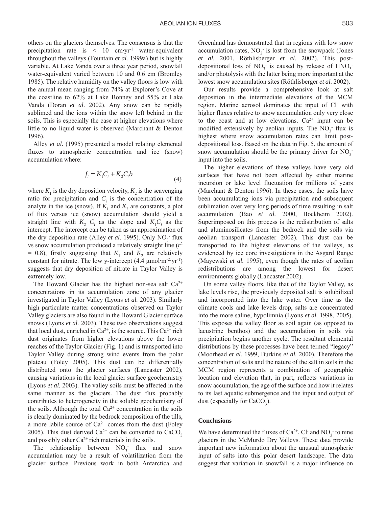others on the glaciers themselves. The consensus is that the precipitation rate is < 10 cm**·**yr-1 water-equivalent throughout the valleys (Fountain *et al.* 1999a) but is highly variable. At Lake Vanda over a three year period, snowfall water-equivalent varied between 10 and 0.6 cm (Bromley 1985). The relative humidity on the valley floors is low with the annual mean ranging from 74% at Explorer's Cove at the coastline to 62% at Lake Bonney and 55% at Lake Vanda (Doran *et al.* 2002). Any snow can be rapidly sublimed and the ions within the snow left behind in the soils. This is especially the case at higher elevations where little to no liquid water is observed (Marchant & Denton 1996).

Alley *et al.* (1995) presented a model relating elemental fluxes to atmospheric concentration and ice (snow) accumulation where:

$$
f_i = K_1 C_i + K_2 C_i b \tag{4}
$$

where  $K_1$  is the dry deposition velocity,  $K_2$  is the scavenging ratio for precipitation and  $C_i$  is the concentration of the analyte in the ice (snow). If  $K_1$  and  $K_2$  are constants, a plot of flux versus ice (snow) accumulation should yield a straight line with  $K_2$   $C_i$  as the slope and  $K_1 C_i$  as the intercept. The intercept can be taken as an approximation of the dry deposition rate (Alley *et al.* 1995). Only  $NO_3^-$  flux vs snow accumulation produced a relatively straight line (*r*<sup>2</sup>  $= 0.8$ ), firstly suggesting that  $K<sub>1</sub>$  and  $K<sub>2</sub>$  are relatively constant for nitrate. The low y-intercept  $(4.4 \mu mol·m<sup>-2</sup>·yr<sup>-1</sup>)$ suggests that dry deposition of nitrate in Taylor Valley is extremely low.

The Howard Glacier has the highest non-sea salt  $Ca^{2+}$ concentrations in its accumulation zone of any glacier investigated in Taylor Valley (Lyons *et al.* 2003). Similarly high particulate matter concentrations observed on Taylor Valley glaciers are also found in the Howard Glacier surface snows (Lyons *et al.* 2003). These two observations suggest that local dust, enriched in  $Ca^{2+}$ , is the source. This  $Ca^{2+}$  rich dust originates from higher elevations above the lower reaches of the Taylor Glacier (Fig. 1) and is transported into Taylor Valley during strong wind events from the polar plateau (Foley 2005). This dust can be differentially distributed onto the glacier surfaces (Lancaster 2002), causing variations in the local glacier surface geochemistry (Lyons *et al.* 2003). The valley soils must be affected in the same manner as the glaciers. The dust flux probably contributes to heterogeneity in the soluble geochemistry of the soils. Although the total  $Ca^{2+}$  concentration in the soils is clearly dominated by the bedrock composition of the tills, a more labile source of  $Ca^{2+}$  comes from the dust (Foley 2005). This dust derived  $Ca^{2+}$  can be converted to  $CaCO<sub>3</sub>$ and possibly other  $Ca^{2+}$  rich materials in the soils.

The relationship between  $NO_3^-$  flux and snow accumulation may be a result of volatilization from the glacier surface. Previous work in both Antarctica and Greenland has demonstrated that in regions with low snow accumulation rates,  $NO_3$  is lost from the snowpack (Jones *et al.* 2001, Rˆthlisberger *et al.* 2002). This postdepositional loss of  $NO_3^-$  is caused by release of  $HNO_3^$ and/or photolysis with the latter being more important at the lowest snow accumulation sites (Röthlisberger *et al.* 2002).

Our results provide a comprehensive look at salt deposition in the intermediate elevations of the MCM region. Marine aerosol dominates the input of Cl- with higher fluxes relative to snow accumulation only very close to the coast and at low elevations.  $Ca^{2+}$  input can be modified extensively by a<br>eolian inputs. The  $NO_3^-$  flux is highest where snow accumulation rates can limit postdepositional loss. Based on the data in Fig. 5, the amount of snow accumulation should be the primary driver for  $NO_3$ <sup>-</sup> input into the soils.

The higher elevations of these valleys have very old surfaces that have not been affected by either marine incursion or lake level fluctuation for millions of years (Marchant & Denton 1996). In these cases, the soils have been accumulating ions via precipitation and subsequent sublimation over very long periods of time resulting in salt accumulation (Bao *et al.* 2000, Bockheim 2002). Superimposed on this process is the redistribution of salts and aluminosilicates from the bedrock and the soils via aeolian transport (Lancaster 2002). This dust can be transported to the highest elevations of the valleys, as evidenced by ice core investigations in the Asgard Range (Mayewski *et al.* 1995), even though the rates of aeolian redistributions are among the lowest for desert environments globally (Lancaster 2002).

On some valley floors, like that of the Taylor Valley, as lake levels rise, the previously deposited salt is solubilized and incorporated into the lake water. Over time as the climate cools and lake levels drop, salts are concentrated into the more saline, hypolimnia (Lyons *et al.* 1998, 2005). This exposes the valley floor as soil again (as opposed to lacustrine benthos) and the accumulation in soils via precipitation begins another cycle. The resultant elemental distributions by these processes have been termed "legacy" (Moorhead *et al.* 1999, Burkins *et al.* 2000). Therefore the concentration of salts and the nature of the salt in soils in the MCM region represents a combination of geographic location and elevation that, in part, reflects variations in snow accumulation, the age of the surface and how it relates to its last aquatic submergence and the input and output of dust (especially for  $CaCO<sub>3</sub>$ ).

#### **Conclusions**

We have determined the fluxes of  $Ca^{2+}$ , Cl<sup>-</sup> and NO<sub>3</sub><sup>-</sup> to nine glaciers in the McMurdo Dry Valleys. These data provide important new information about the unusual atmospheric input of salts into this polar desert landscape. The data suggest that variation in snowfall is a major influence on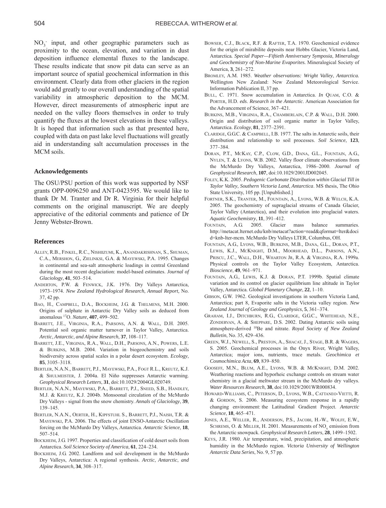$NO<sub>3</sub>$  input, and other geographic parameters such as proximity to the ocean, elevation, and variation in dust deposition influence elemental fluxes to the landscape. These results indicate that snow pit data can serve as an important source of spatial geochemical information in this environment. Clearly data from other glaciers in the region would add greatly to our overall understanding of the spatial variability in atmospheric deposition to the MCM. However, direct measurements of atmospheric input are needed on the valley floors themselves in order to truly quantify the fluxes at the lowest elevations in these valleys. It is hoped that information such as that presented here, coupled with data on past lake level fluctuations will greatly aid in understanding salt accumulation processes in the MCM soils.

#### **Acknowledgements**

The OSU/PSU portion of this work was supported by NSF grants OPP-0096250 and ANT-0423595. We would like to thank Dr M. Tranter and Dr R. Virginia for their helpful comments on the original manuscript. We are deeply appreciative of the editorial comments and patience of Dr Jenny Webster-Brown.

#### **References**

- ALLEY, R.B., FINKEL, R.C., NISHIIZUMI, K., ANANDAKRISHNAN, S., SHUMAN, C.A., MERSHON, G., ZIELINKSI, G.A. & MAYEWSKI, P.A. 1995. Changes in continental and sea-salt atmospheric loadings in central Greenland during the most recent deglaciation: model-based estimates. *Journal of*  $Glaciology, 41, 503–514.$
- ANDERTON, P.W. & FENWICK, J.K. 1976. Dry Valleys Antarctica, 1973–1974. *New Zealand Hydrological Research*, *Annual Report*, No. 37, 42 pp.
- BAO, H., CAMPBELL, D.A., BOCKHEIM, J.G. & THELMENS, M.H. 2000. Origins of sulphate in Antarctic Dry Valley soils as deduced from anomalous <sup>17</sup>O. *Nature*, **407**, 499-502.
- BARRETT, J.E., VIRGINIA, R.A., PARSONS, A.N. & WALL, D.H. 2005. Potential soil organic matter turnover in Taylor Valley, Antarctica. *Arctic*, *Antarctic*, *and Alpine Research*, 37, 108-117.
- BARRETT, J.E., VIRGINIA, R.A., WALL, D.H., PARSONS, A.N., POWERS, L.E. & BURKINS, M.B. 2004. Variation in biogeochemistry and soils biodiversity across spatial scales in a polar desert ecosystem. *Ecology*, **85**, 3105–3118.
- BERTLER, N.A.N., BARRETT, P.J., MAYEWSKI, P.A., FOGT R.L., KREUTZ, K.J. & SHULMEISTER, J. 2004a. El Niño suppresses Antarctic warming. *Geophysical Research Letters*, **31**, doi:10.1029/2004GL020749.
- BERTLER, N.A.N., MAYEWSKI, P.A., BARRETT, P.J., SNEED, S.B., HANDLEY, M.J. & KREUTZ, K.J. 2004b. Monsoonal circulation of the McMurdo Dry Valleys - signal from the snow chemistry. *Annals of Glaciology*, **39**, 139-145
- BERTLER, N.A.N., OERTER, H., KIPFSTUHL S., BARRETT, P.J., NAISH, T.R. & MAYEWSKI, P.A. 2006. The effects of joint ENSO-Antarctic Oscillation forcing on the McMurdo Dry Valleys, Antarctica. *Antarctic Science*, **18**, 507-514.
- BOCKHEIM, J.G. 1997. Properties and classification of cold desert soils from Antarctica. *Soil Science Society of America*, 61, 224-234.
- BOCKHEIM, J.G. 2002. Landform and soil development in the McMurdo Dry Valleys, Antarctica: A regional synthesis. *Arctic*, *Antarctic*, *and Alpine Research*, **34**, 308–317.
- BOWSER, C.J., BLACK, R.F. & RAFTER, T.A. 1970. Geochemical evidence for the origin of mirabilite deposits near Hobbs Glacier, Victoria Land, Antarctica*. Special Paper—Fiftieth Anniversary Symposia*, *Mineralogy and Geochemistry of Non-Marine Evaporites.* Mineralogical Society of America, 3, 261–272.
- BROMLEY, A.M. 1985. *Weather observations: Wright Valley*, *Antarctica.* Wellington New Zealand: New Zealand Meteorological Service. Information Publication II, 37 pp.
- BULL, C. 1971. Snow accumulation in Antarctica. *In* QUAM, C.O. & PORTER, H.D. *eds*. *Research in the Antarctic*. American Association for the Advancement of Science, 367-421.
- BURKINS, M.B., VIRGINIA, R.A., CHAMBERLAIN, C.P. & WALL, D.H. 2000. Origin and distribution of soil organic matter in Taylor Valley, Antarctica. *Ecology*, **81**, 2377-2391.
- CLARIDGE, G.G.C. & CAMPBELL, I.B. 1977. The salts in Antarctic soils, their distribution and relationship to soil processes. *Soil Science*, **123**, 377-384.
- DORAN, P.T., MCKAY, C.P., CLOW, G.D., DANA, G.L., FOUNTAIN, A.G., NYLEN, T. & LYONS, W.B. 2002. Valley floor climate observations from the McMurdo Dry Valleys, Antarctica, 1986-2000. *Journal of Geophysical Research*, **107**, doi:10.1029/2001JD002045.
- FOLEY, K.K. 2005. *Pedogenic Carbonate Distribution within Glacial Till in Taylor Valley*, *Southern Victoria Land*, *Antarctica*. MS thesis, The Ohio State University, 105 pp. [Unpublished.]
- FORTNER, S.K., TRANTER, M., FOUNTAIN, A., LYONS, W.B. & WELCH, K.A. 2005. The geochemistry of supraglacial streams of Canada Glacier, Taylor Valley (Antarctica), and their evolution into proglacial waters. *Aquatic Geochemistry*, **11**, 391-412.
- FOUNTAIN, A.G. 2005. Glacier mass balance summaries. http://metacat.lternet.edu/knb/metacat?action=read&qformat=lter&doci d=knb-lter-mcm. McMurdo Dry Valleys LTER, Columbus, OH.
- FOUNTAIN, A.G., LYONS, W.B., BURKINS, M.B., DANA, G.L., DORAN, P.T., LEWIS, K.J., MCKNIGHT, D.M., MOORHEAD, D.L., PARSONS, A.N., PRISCU, J.C., WALL, D.H., WHARTON JR, R.A. & VIRGINIA, R.A. 1999a. Physical controls on the Taylor Valley Ecosystem, Antarctica.  $Bioscience, 49, 961–971.$
- FOUNTAIN, A.G., LEWIS, K.J. & DORAN, P.T. 1999b. Spatial climate variation and its control on glacier equilibrium line altitude in Taylor Valley, Antarctica. *Global Planetary Change*, 22, 1-10.
- GIBSON, G.W. 1962. Geological investigations in southern Victoria Land, Antarctica; part 8, Evaporite salts in the Victoria valley region. *New* Zealand Journal of Geology and Geophysics, 5, 361-374.
- GRAHAM, I.J., DITCHBURN, R.G., CLARIDGE, G.G.C., WHITEHEAD, N.E., ZONDERVAN, A. & SHEPPARE, D.S. 2002. Dating Antarctic soils using atmosphere-derived 10Be and nitrate. *Royal Society of New Zealand Bulletin*, *No.* 35, 429-436.
- GREEN, W.J., NEWELL, S., PRESTON, A., SHACAT, J., STAGE, B.R. & WAGERS, S. 2005. Geochemical processes in the Onyx River, Wright Valley, Antarctica; major ions, nutrients, trace metals. *Geochimica et Cosmochimica Acta*, **69**, 839-850.
- GOOSEFF, M.N., BLUM, A.E., LYONS, W.B. & MCKNIGHT, D.M. 2002. Weathering reactions and hyporheic exchange controls on stream water chemistry in a glacial meltwater stream in the McMurdo dry valleys. *Water Resources Research*, **38**, doi:10.1029/2001WR000834.
- HOWARD-WILLIAMS, C., PETERSON, D., LYONS, W.B., CATTANEO-VIETTI, R. & GORDON, S. 2006. Measuring ecosystem response in a rapidly changing environment: the Latitudinal Gradient Project. *Antarctic Science*, **18**, 465-471.
- JONES, A.E., WELLER, R., ANDERSON, P.S., JACOBI, H.-W., WOLFF, E.W., SCHREMS, O. & MILLER, H. 2001. Measurements of NO<sub>v</sub> emission from the Antarctic snowpack. *Geophysical Research Letters*, 28, 1499-1502.
- KEYS, J.R. 1980. Air temperature, wind, precipitation, and atmospheric humidity in the McMurdo region. *Victoria University of Wellington Antarctic Data Series*, No. 9, 57 pp.